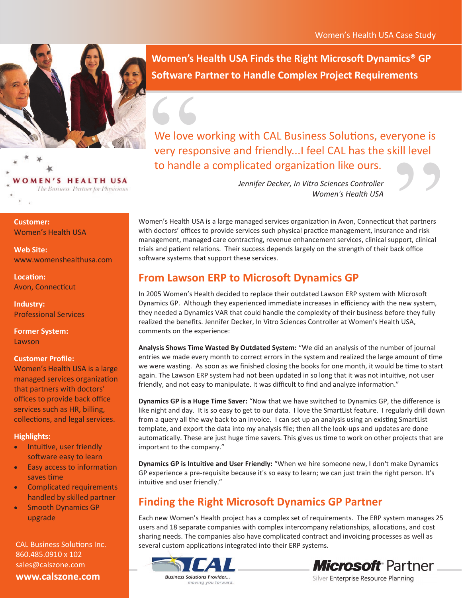

**VOMEN'S HEALTH USA** The Business Partner for Physicians

**Customer:**  Women's Health USA

**Web Site:** www.womenshealthusa.com

**Location:** Avon, Connecticut

**Industry:**  Professional Services

**Former System:**  Lawson

### **Customer Profile:**

Women's Health USA is a large managed services organization that partners with doctors' offices to provide back office services such as HR, billing, collections, and legal services.

#### **Highlights:**

- Intuitive, user friendly software easy to learn
- Easy access to information saves time
- Complicated requirements handled by skilled partner
- Smooth Dynamics GP upgrade

CAL Business Solutions Inc. 860.485.0910 x 102 sales@calszone.com **www.calszone.com**

**Women's Health USA Finds the Right Microsoft Dynamics® GP Software Partner to Handle Complex Project Requirements**

We love<br>
Very resp<br>
to handle We love working with CAL Business Solutions, everyone is very responsive and friendly...I feel CAL has the skill level to handle a complicated organization like ours.

*Jennifer Decker, In Vitro Sciences Controller Women's Health USA*

KIII level<br>
...<br>
that partners<br>
nce and risk<br>
upport, clinical<br>
ack office Women's Health USA is a large managed services organization in Avon, Connecticut that partners with doctors' offices to provide services such physical practice management, insurance and risk management, managed care contracting, revenue enhancement services, clinical support, clinical trials and patient relations. Their success depends largely on the strength of their back office software systems that support these services.

## **From Lawson ERP to Microsoft Dynamics GP**

In 2005 Women's Health decided to replace their outdated Lawson ERP system with Microsoft Dynamics GP. Although they experienced immediate increases in efficiency with the new system, they needed a Dynamics VAR that could handle the complexity of their business before they fully realized the benefits. Jennifer Decker, In Vitro Sciences Controller at Women's Health USA, comments on the experience:

**Analysis Shows Time Wasted By Outdated System:** "We did an analysis of the number of journal entries we made every month to correct errors in the system and realized the large amount of time we were wasting. As soon as we finished closing the books for one month, it would be time to start again. The Lawson ERP system had not been updated in so long that it was not intuitive, not user friendly, and not easy to manipulate. It was difficult to find and analyze information."

**Dynamics GP is a Huge Time Saver:** "Now that we have switched to Dynamics GP, the difference is like night and day. It is so easy to get to our data. I love the SmartList feature. I regularly drill down from a query all the way back to an invoice. I can set up an analysis using an existing SmartList template, and export the data into my analysis file; then all the look-ups and updates are done automatically. These are just huge time savers. This gives us time to work on other projects that are important to the company."

**Dynamics GP is Intuitive and User Friendly:** "When we hire someone new, I don't make Dynamics GP experience a pre-requisite because it's so easy to learn; we can just train the right person. It's intuitive and user friendly."

# **Finding the Right Microsoft Dynamics GP Partner**

Each new Women's Health project has a complex set of requirements. The ERP system manages 25 users and 18 separate companies with complex intercompany relationships, allocations, and cost sharing needs. The companies also have complicated contract and invoicing processes as well as several custom applications integrated into their ERP systems.



moving you forward.



Silver Enterprise Resource Planning